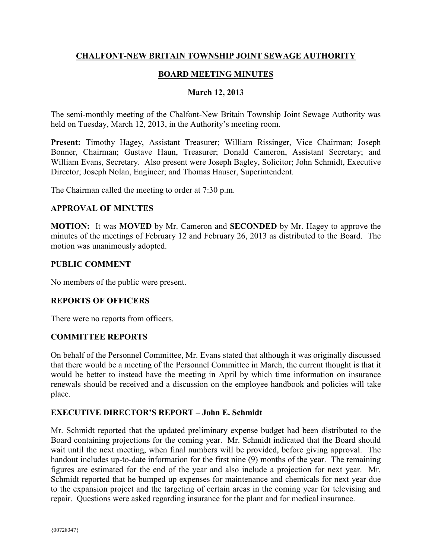## **CHALFONT-NEW BRITAIN TOWNSHIP JOINT SEWAGE AUTHORITY**

## **BOARD MEETING MINUTES**

#### **March 12, 2013**

The semi-monthly meeting of the Chalfont-New Britain Township Joint Sewage Authority was held on Tuesday, March 12, 2013, in the Authority's meeting room.

**Present:** Timothy Hagey, Assistant Treasurer; William Rissinger, Vice Chairman; Joseph Bonner, Chairman; Gustave Haun, Treasurer; Donald Cameron, Assistant Secretary; and William Evans, Secretary. Also present were Joseph Bagley, Solicitor; John Schmidt, Executive Director; Joseph Nolan, Engineer; and Thomas Hauser, Superintendent.

The Chairman called the meeting to order at 7:30 p.m.

#### **APPROVAL OF MINUTES**

**MOTION:** It was **MOVED** by Mr. Cameron and **SECONDED** by Mr. Hagey to approve the minutes of the meetings of February 12 and February 26, 2013 as distributed to the Board. The motion was unanimously adopted.

#### **PUBLIC COMMENT**

No members of the public were present.

### **REPORTS OF OFFICERS**

There were no reports from officers.

### **COMMITTEE REPORTS**

On behalf of the Personnel Committee, Mr. Evans stated that although it was originally discussed that there would be a meeting of the Personnel Committee in March, the current thought is that it would be better to instead have the meeting in April by which time information on insurance renewals should be received and a discussion on the employee handbook and policies will take place.

### **EXECUTIVE DIRECTOR'S REPORT – John E. Schmidt**

Mr. Schmidt reported that the updated preliminary expense budget had been distributed to the Board containing projections for the coming year. Mr. Schmidt indicated that the Board should wait until the next meeting, when final numbers will be provided, before giving approval. The handout includes up-to-date information for the first nine (9) months of the year. The remaining figures are estimated for the end of the year and also include a projection for next year. Mr. Schmidt reported that he bumped up expenses for maintenance and chemicals for next year due to the expansion project and the targeting of certain areas in the coming year for televising and repair. Questions were asked regarding insurance for the plant and for medical insurance.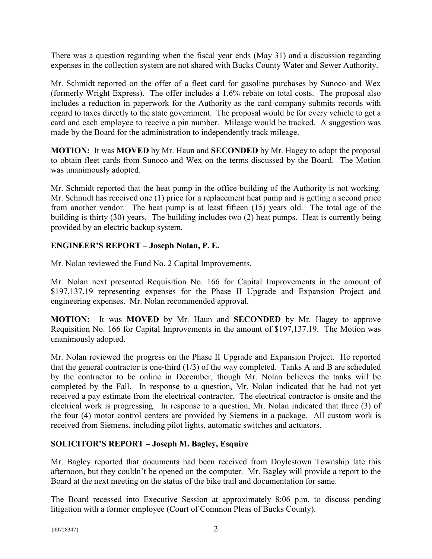There was a question regarding when the fiscal year ends (May 31) and a discussion regarding expenses in the collection system are not shared with Bucks County Water and Sewer Authority.

Mr. Schmidt reported on the offer of a fleet card for gasoline purchases by Sunoco and Wex (formerly Wright Express). The offer includes a 1.6% rebate on total costs. The proposal also includes a reduction in paperwork for the Authority as the card company submits records with regard to taxes directly to the state government. The proposal would be for every vehicle to get a card and each employee to receive a pin number. Mileage would be tracked. A suggestion was made by the Board for the administration to independently track mileage.

**MOTION:** It was **MOVED** by Mr. Haun and **SECONDED** by Mr. Hagey to adopt the proposal to obtain fleet cards from Sunoco and Wex on the terms discussed by the Board. The Motion was unanimously adopted.

Mr. Schmidt reported that the heat pump in the office building of the Authority is not working. Mr. Schmidt has received one (1) price for a replacement heat pump and is getting a second price from another vendor. The heat pump is at least fifteen (15) years old. The total age of the building is thirty (30) years. The building includes two (2) heat pumps. Heat is currently being provided by an electric backup system.

# **ENGINEER'S REPORT – Joseph Nolan, P. E.**

Mr. Nolan reviewed the Fund No. 2 Capital Improvements.

Mr. Nolan next presented Requisition No. 166 for Capital Improvements in the amount of \$197,137.19 representing expenses for the Phase II Upgrade and Expansion Project and engineering expenses. Mr. Nolan recommended approval.

**MOTION:** It was **MOVED** by Mr. Haun and **SECONDED** by Mr. Hagey to approve Requisition No. 166 for Capital Improvements in the amount of \$197,137.19. The Motion was unanimously adopted.

Mr. Nolan reviewed the progress on the Phase II Upgrade and Expansion Project. He reported that the general contractor is one-third (1/3) of the way completed. Tanks A and B are scheduled by the contractor to be online in December, though Mr. Nolan believes the tanks will be completed by the Fall. In response to a question, Mr. Nolan indicated that he had not yet received a pay estimate from the electrical contractor. The electrical contractor is onsite and the electrical work is progressing. In response to a question, Mr. Nolan indicated that three (3) of the four (4) motor control centers are provided by Siemens in a package. All custom work is received from Siemens, including pilot lights, automatic switches and actuators.

# **SOLICITOR'S REPORT – Joseph M. Bagley, Esquire**

Mr. Bagley reported that documents had been received from Doylestown Township late this afternoon, but they couldn't be opened on the computer. Mr. Bagley will provide a report to the Board at the next meeting on the status of the bike trail and documentation for same.

The Board recessed into Executive Session at approximately 8:06 p.m. to discuss pending litigation with a former employee (Court of Common Pleas of Bucks County).